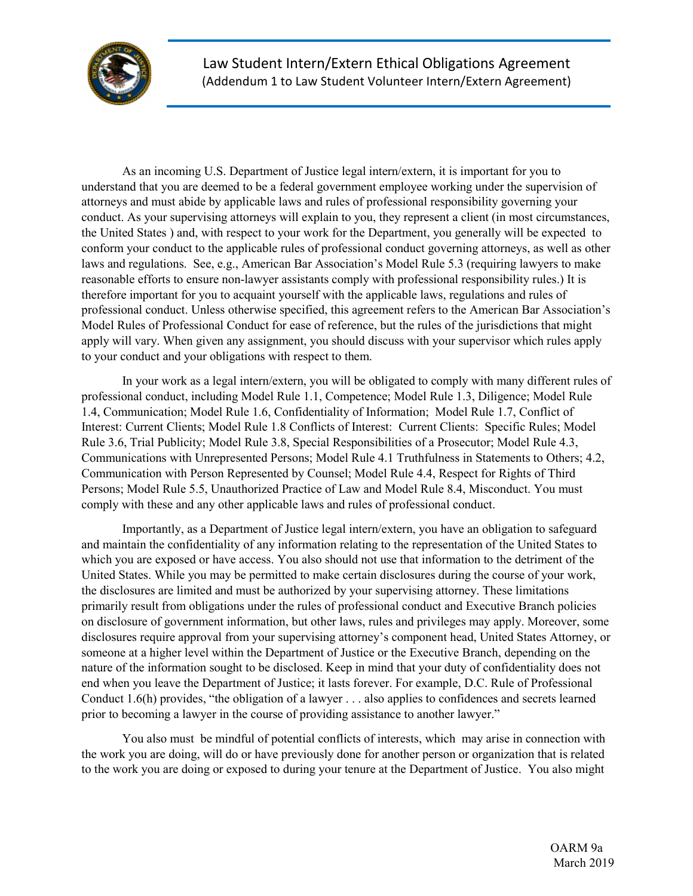

As an incoming U.S. Department of Justice legal intern/extern, it is important for you to understand that you are deemed to be a federal government employee working under the supervision of attorneys and must abide by applicable laws and rules of professional responsibility governing your conduct. As your supervising attorneys will explain to you, they represent a client (in most circumstances, the United States ) and, with respect to your work for the Department, you generally will be expected to conform your conduct to the applicable rules of professional conduct governing attorneys, as well as other laws and regulations. See, e.g., American Bar Association's Model Rule 5.3 (requiring lawyers to make reasonable efforts to ensure non-lawyer assistants comply with professional responsibility rules.) It is therefore important for you to acquaint yourself with the applicable laws, regulations and rules of professional conduct. Unless otherwise specified, this agreement refers to the American Bar Association's Model Rules of Professional Conduct for ease of reference, but the rules of the jurisdictions that might apply will vary. When given any assignment, you should discuss with your supervisor which rules apply to your conduct and your obligations with respect to them.

In your work as a legal intern/extern, you will be obligated to comply with many different rules of professional conduct, including Model Rule 1.1, Competence; Model Rule 1.3, Diligence; Model Rule 1.4, Communication; Model Rule 1.6, Confidentiality of Information; Model Rule 1.7, Conflict of Interest: Current Clients; Model Rule 1.8 Conflicts of Interest: Current Clients: Specific Rules; Model Rule 3.6, Trial Publicity; Model Rule 3.8, Special Responsibilities of a Prosecutor; Model Rule 4.3, Communications with Unrepresented Persons; Model Rule 4.1 Truthfulness in Statements to Others; 4.2, Communication with Person Represented by Counsel; Model Rule 4.4, Respect for Rights of Third Persons; Model Rule 5.5, Unauthorized Practice of Law and Model Rule 8.4, Misconduct. You must comply with these and any other applicable laws and rules of professional conduct.

Importantly, as a Department of Justice legal intern/extern, you have an obligation to safeguard and maintain the confidentiality of any information relating to the representation of the United States to which you are exposed or have access. You also should not use that information to the detriment of the United States. While you may be permitted to make certain disclosures during the course of your work, the disclosures are limited and must be authorized by your supervising attorney. These limitations primarily result from obligations under the rules of professional conduct and Executive Branch policies on disclosure of government information, but other laws, rules and privileges may apply. Moreover, some disclosures require approval from your supervising attorney's component head, United States Attorney, or someone at a higher level within the Department of Justice or the Executive Branch, depending on the nature of the information sought to be disclosed. Keep in mind that your duty of confidentiality does not end when you leave the Department of Justice; it lasts forever. For example, D.C. Rule of Professional Conduct 1.6(h) provides, "the obligation of a lawyer . . . also applies to confidences and secrets learned prior to becoming a lawyer in the course of providing assistance to another lawyer."

You also must be mindful of potential conflicts of interests, which may arise in connection with the work you are doing, will do or have previously done for another person or organization that is related to the work you are doing or exposed to during your tenure at the Department of Justice. You also might